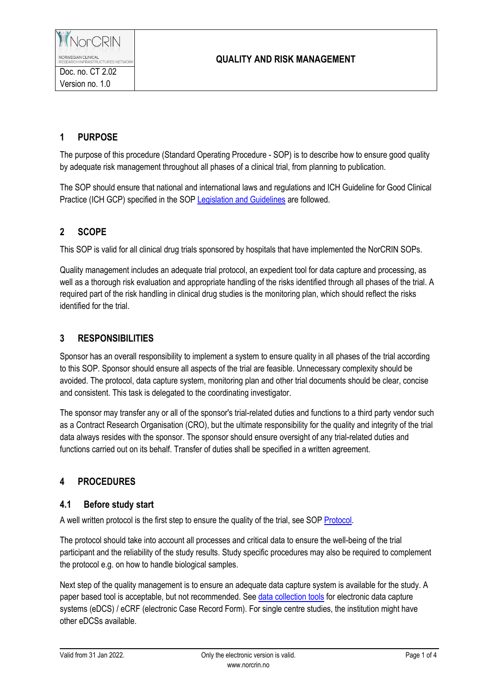## **QUALITY AND RISK MANAGEMENT**

# **1 PURPOSE**

The purpose of this procedure (Standard Operating Procedure - SOP) is to describe how to ensure good quality by adequate risk management throughout all phases of a clinical trial, from planning to publication.

The SOP should ensure that national and international laws and regulations and ICH Guideline for Good Clinical Practice (ICH GCP) specified in the SOP Legislation [and Guidelines](https://www.norcrin.no/documents/2022/01/ct-1-02-legislation-and-guidelines.docx/) are followed.

# **2 SCOPE**

This SOP is valid for all clinical drug trials sponsored by hospitals that have implemented the NorCRIN SOPs.

Quality management includes an adequate trial protocol, an expedient tool for data capture and processing, as well as a thorough risk evaluation and appropriate handling of the risks identified through all phases of the trial. A required part of the risk handling in clinical drug studies is the monitoring plan, which should reflect the risks identified for the trial.

## **3 RESPONSIBILITIES**

Sponsor has an overall responsibility to implement a system to ensure quality in all phases of the trial according to this SOP. Sponsor should ensure all aspects of the trial are feasible. Unnecessary complexity should be avoided. The protocol, data capture system, monitoring plan and other trial documents should be clear, concise and consistent. This task is delegated to the coordinating investigator.

The sponsor may transfer any or all of the sponsor's trial-related duties and functions to a third party vendor such as a Contract Research Organisation (CRO), but the ultimate responsibility for the quality and integrity of the trial data always resides with the sponsor. The sponsor should ensure oversight of any trial-related duties and functions carried out on its behalf. Transfer of duties shall be specified in a written agreement.

# **4 PROCEDURES**

## **4.1 Before study start**

A well written protocol is the first step to ensure the quality of the trial, see SOP [Protocol.](https://www.norcrin.no/documents/2022/01/ct-2-01-protocol.docx/)

The protocol should take into account all processes and critical data to ensure the well-being of the trial participant and the reliability of the study results. Study specific procedures may also be required to complement the protocol e.g. on how to handle biological samples.

Next step of the quality management is to ensure an adequate data capture system is available for the study. A paper based tool is acceptable, but not recommended. See [data collection tools](https://www.norcrin.no/en/data-collection-tools/) for electronic data capture systems (eDCS) / eCRF (electronic Case Record Form). For single centre studies, the institution might have other eDCSs available.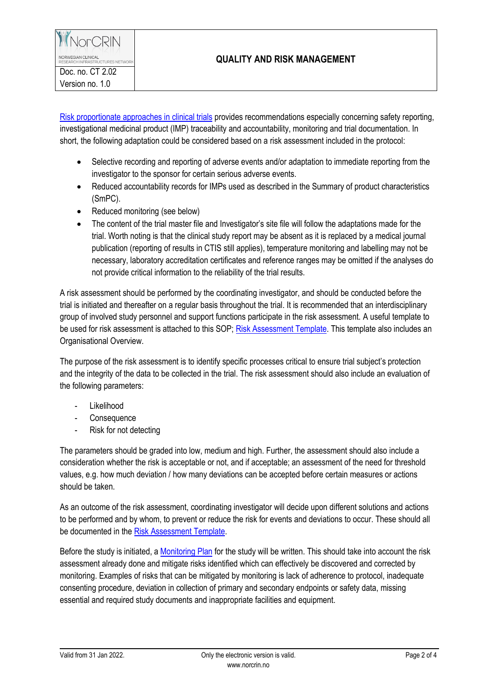NorCRIN NORWEGIAN CLINICAL<br>RESEARCH INFRASTRUCTURES NETWORI

Doc. no. CT 2.02 Version no. 1.0

## **QUALITY AND RISK MANAGEMENT**

[Risk proportionate approaches in](https://ec.europa.eu/health/document/download/be80ee91-f7b8-4100-be72-42efd8362d71_en) clinical trials provides recommendations especially concerning safety reporting, investigational medicinal product (IMP) traceability and accountability, monitoring and trial documentation. In short, the following adaptation could be considered based on a risk assessment included in the protocol:

- Selective recording and reporting of adverse events and/or adaptation to immediate reporting from the investigator to the sponsor for certain serious adverse events.
- Reduced accountability records for IMPs used as described in the Summary of product characteristics (SmPC).
- Reduced monitoring (see below)
- The content of the trial master file and Investigator's site file will follow the adaptations made for the trial. Worth noting is that the clinical study report may be absent as it is replaced by a medical journal publication (reporting of results in CTIS still applies), temperature monitoring and labelling may not be necessary, laboratory accreditation certificates and reference ranges may be omitted if the analyses do not provide critical information to the reliability of the trial results.

A risk assessment should be performed by the coordinating investigator, and should be conducted before the trial is initiated and thereafter on a regular basis throughout the trial. It is recommended that an interdisciplinary group of involved study personnel and support functions participate in the risk assessment. A useful template to be used for risk assessment is attached to this SOP[; Risk Assessment Template.](https://www.norcrin.no/documents/2022/01/ct-2-02-01-risk-assessment-template.xlsx/) This template also includes an Organisational Overview.

The purpose of the risk assessment is to identify specific processes critical to ensure trial subject's protection and the integrity of the data to be collected in the trial. The risk assessment should also include an evaluation of the following parameters:

- Likelihood
- **Consequence**
- Risk for not detecting

The parameters should be graded into low, medium and high. Further, the assessment should also include a consideration whether the risk is acceptable or not, and if acceptable; an assessment of the need for threshold values, e.g. how much deviation / how many deviations can be accepted before certain measures or actions should be taken.

As an outcome of the risk assessment, coordinating investigator will decide upon different solutions and actions to be performed and by whom, to prevent or reduce the risk for events and deviations to occur. These should all be documented in the [Risk Assessment Template.](https://www.norcrin.no/documents/2022/01/ct-2-02-01-risk-assessment-template.xlsx/)

Before the study is initiated, a [Monitoring Plan](https://www.norcrin.no/documents/2021/12/ct-2-02-03-monitoring-plan.docx/) for the study will be written. This should take into account the risk assessment already done and mitigate risks identified which can effectively be discovered and corrected by monitoring. Examples of risks that can be mitigated by monitoring is lack of adherence to protocol, inadequate consenting procedure, deviation in collection of primary and secondary endpoints or safety data, missing essential and required study documents and inappropriate facilities and equipment.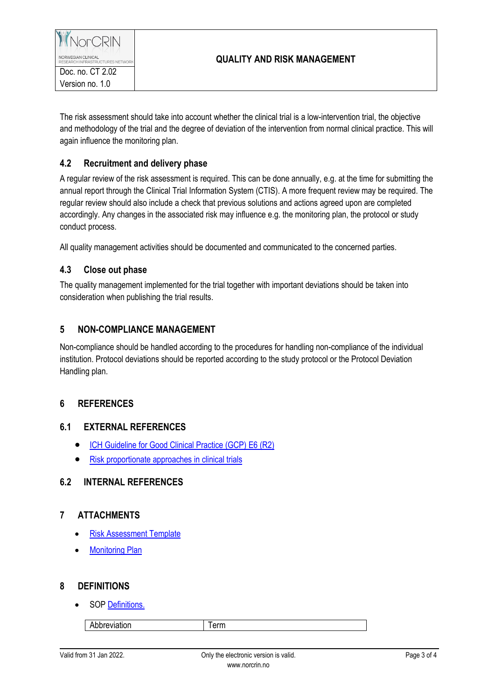NORWEGIAN CLINICAL<br>RESEARCH INFRASTRUCTURES NETWORI Doc. no. CT 2.02 Version no. 1.0

NorCRIN

The risk assessment should take into account whether the clinical trial is a low-intervention trial, the objective and methodology of the trial and the degree of deviation of the intervention from normal clinical practice. This will again influence the monitoring plan.

## **4.2 Recruitment and delivery phase**

A regular review of the risk assessment is required. This can be done annually, e.g. at the time for submitting the annual report through the Clinical Trial Information System (CTIS). A more frequent review may be required. The regular review should also include a check that previous solutions and actions agreed upon are completed accordingly. Any changes in the associated risk may influence e.g. the monitoring plan, the protocol or study conduct process.

All quality management activities should be documented and communicated to the concerned parties.

#### **4.3 Close out phase**

The quality management implemented for the trial together with important deviations should be taken into consideration when publishing the trial results.

## **5 NON-COMPLIANCE MANAGEMENT**

Non-compliance should be handled according to the procedures for handling non-compliance of the individual institution. Protocol deviations should be reported according to the study protocol or the Protocol Deviation Handling plan.

## **6 REFERENCES**

#### **6.1 EXTERNAL REFERENCES**

- [ICH Guideline for Good Clinical Practice \(GCP\) E6 \(R2\)](http://www.ema.europa.eu/docs/en_GB/document_library/Scientific_guideline/2009/09/WC500002874.pdf)
- [Risk proportionate approaches in clinical trials](https://ec.europa.eu/health/document/download/be80ee91-f7b8-4100-be72-42efd8362d71_en)

## **6.2 INTERNAL REFERENCES**

## **7 ATTACHMENTS**

- [Risk Assessment Template](https://www.norcrin.no/documents/2022/01/ct-2-02-01-risk-assessment-template.xlsx/)
- [Monitoring Plan](https://www.norcrin.no/documents/2021/12/ct-2-02-03-monitoring-plan.docx/)

#### **8 DEFINITIONS**

SO[P Definitions.](https://www.norcrin.no/documents/2022/01/ct-1-01-definitions.docx/)

Abbreviation Term